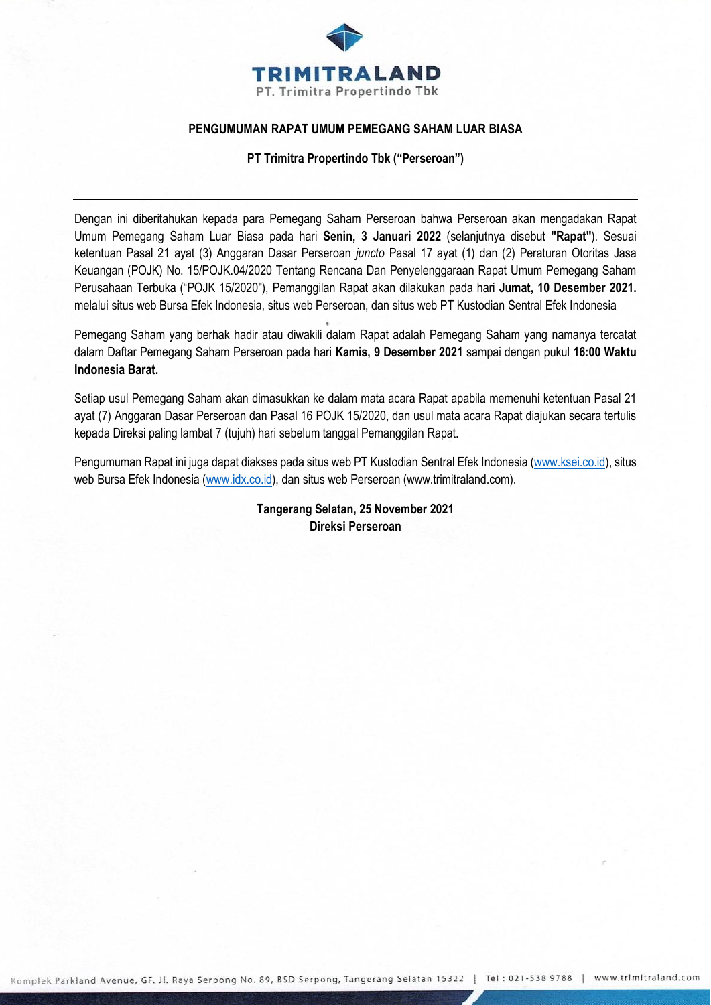

## **PENGUMUMAN RAPAT UMUM PEMEGANG SAHAM LUAR BIASA**

**PT Trimitra Propertindo Tbk ("Perseroan")**

Dengan ini diberitahukan kepada para Pemegang Saham Perseroan bahwa Perseroan akan mengadakan Rapat Umum Pemegang Saham Luar Biasa pada hari **Senin, 3 Januari 2022** (selanjutnya disebut **"Rapat"**). Sesuai ketentuan Pasal 21 ayat (3) Anggaran Dasar Perseroan *juncto* Pasal 17 ayat (1) dan (2) Peraturan Otoritas Jasa Keuangan (POJK) No. 15/POJK.04/2020 Tentang Rencana Dan Penyelenggaraan Rapat Umum Pemegang Saham Perusahaan Terbuka ("POJK 15/2020"), Pemanggilan Rapat akan dilakukan pada hari **Jumat, 10 Desember 2021.** melalui situs web Bursa Efek Indonesia, situs web Perseroan, dan situs web PT Kustodian Sentral Efek Indonesia

Pemegang Saham yang berhak hadir atau diwakili dalam Rapat adalah Pemegang Saham yang namanya tercatat dalam Daftar Pemegang Saham Perseroan pada hari **Kamis, 9 Desember 2021** sampai dengan pukul **16:00 Waktu Indonesia Barat.**

Setiap usul Pemegang Saham akan dimasukkan ke dalam mata acara Rapat apabila memenuhi ketentuan Pasal 21 ayat (7) Anggaran Dasar Perseroan dan Pasal 16 POJK 15/2020, dan usul mata acara Rapat diajukan secara tertulis kepada Direksi paling lambat 7 (tujuh) hari sebelum tanggal Pemanggilan Rapat.

Pengumuman Rapat ini juga dapat diakses pada situs web PT Kustodian Sentral Efek Indonesia [\(www.ksei.co.id\)](http://www.ksei.co.id/), situs web Bursa Efek Indonesia [\(www.idx.co.id\)](http://www.idx.co.id/), dan situs web Perseroan (www.trimitraland.com).

> **Tangerang Selatan, 25 November 2021 Direksi Perseroan**